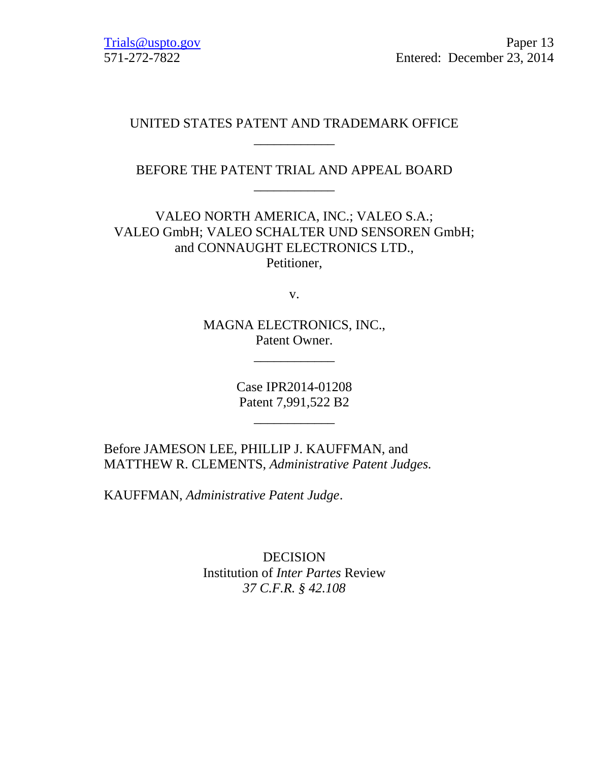# UNITED STATES PATENT AND TRADEMARK OFFICE \_\_\_\_\_\_\_\_\_\_\_\_

BEFORE THE PATENT TRIAL AND APPEAL BOARD \_\_\_\_\_\_\_\_\_\_\_\_

VALEO NORTH AMERICA, INC.; VALEO S.A.; VALEO GmbH; VALEO SCHALTER UND SENSOREN GmbH; and CONNAUGHT ELECTRONICS LTD., Petitioner,

v.

MAGNA ELECTRONICS, INC., Patent Owner.

\_\_\_\_\_\_\_\_\_\_\_\_

Case IPR2014-01208 Patent 7,991,522 B2

\_\_\_\_\_\_\_\_\_\_\_\_

Before JAMESON LEE, PHILLIP J. KAUFFMAN, and MATTHEW R. CLEMENTS, *Administrative Patent Judges.*

KAUFFMAN, *Administrative Patent Judge*.

DECISION Institution of *Inter Partes* Review *37 C.F.R. § 42.108*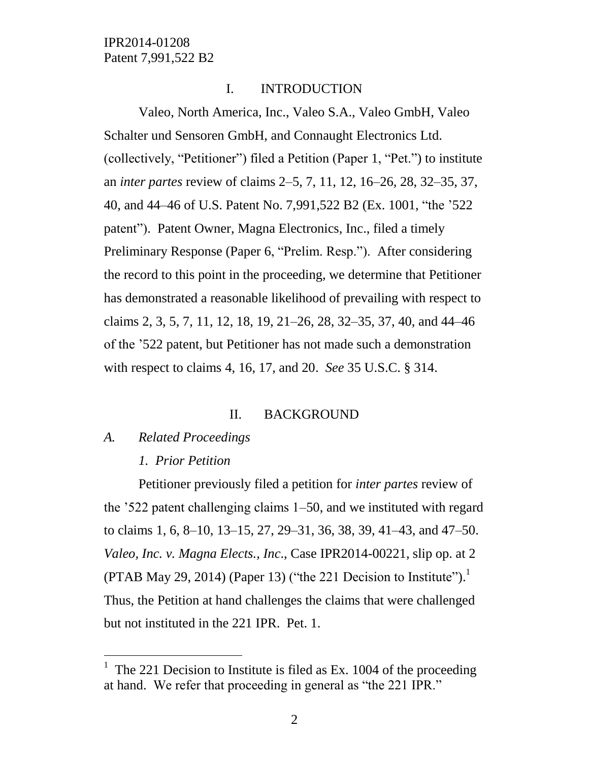### I. INTRODUCTION

Valeo, North America, Inc., Valeo S.A., Valeo GmbH, Valeo Schalter und Sensoren GmbH, and Connaught Electronics Ltd. (collectively, "Petitioner") filed a Petition (Paper 1, "Pet.") to institute an *inter partes* review of claims 2–5, 7, 11, 12, 16–26, 28, 32–35, 37, 40, and 44–46 of U.S. Patent No. 7,991,522 B2 (Ex. 1001, "the '522 patent"). Patent Owner, Magna Electronics, Inc., filed a timely Preliminary Response (Paper 6, "Prelim. Resp."). After considering the record to this point in the proceeding, we determine that Petitioner has demonstrated a reasonable likelihood of prevailing with respect to claims 2, 3, 5, 7, 11, 12, 18, 19, 21–26, 28, 32–35, 37, 40, and 44–46 of the '522 patent, but Petitioner has not made such a demonstration with respect to claims 4, 16, 17, and 20. *See* 35 U.S.C. § 314.

#### II. BACKGROUND

#### *A. Related Proceedings*

 $\overline{a}$ 

### *1. Prior Petition*

Petitioner previously filed a petition for *inter partes* review of the '522 patent challenging claims 1–50, and we instituted with regard to claims 1, 6, 8–10, 13–15, 27, 29–31, 36, 38, 39, 41–43, and 47–50. *Valeo, Inc. v. Magna Elects., Inc*., Case IPR2014-00221, slip op. at 2 (PTAB May 29, 2014) (Paper 13) ("the 221 Decision to Institute").<sup>1</sup> Thus, the Petition at hand challenges the claims that were challenged but not instituted in the 221 IPR. Pet. 1.

<sup>1</sup> The 221 Decision to Institute is filed as Ex. 1004 of the proceeding at hand. We refer that proceeding in general as "the 221 IPR."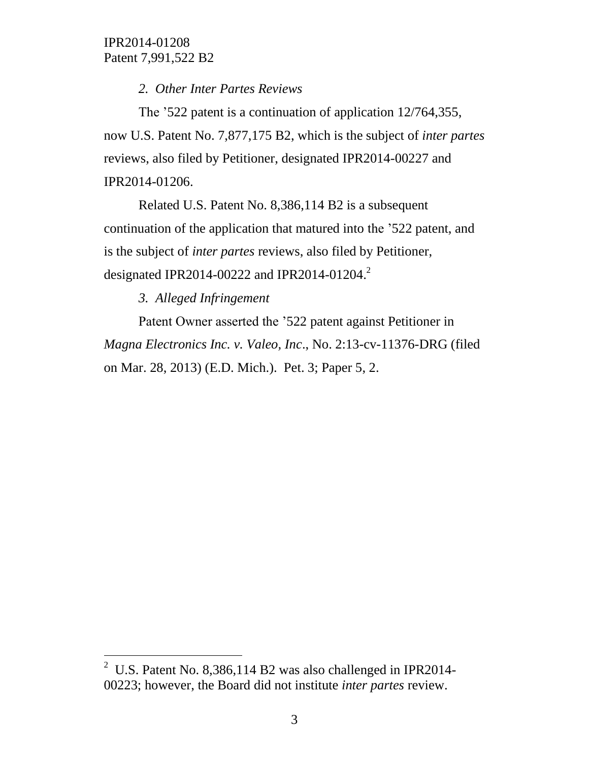*2. Other Inter Partes Reviews*

The '522 patent is a continuation of application 12/764,355, now U.S. Patent No. 7,877,175 B2, which is the subject of *inter partes* reviews, also filed by Petitioner, designated IPR2014-00227 and IPR2014-01206.

Related U.S. Patent No. 8,386,114 B2 is a subsequent continuation of the application that matured into the '522 patent, and is the subject of *inter partes* reviews, also filed by Petitioner, designated IPR2014-00222 and IPR2014-01204.<sup>2</sup>

*3. Alleged Infringement*

 $\overline{a}$ 

Patent Owner asserted the '522 patent against Petitioner in *Magna Electronics Inc. v. Valeo, Inc*., No. 2:13-cv-11376-DRG (filed on Mar. 28, 2013) (E.D. Mich.). Pet. 3; Paper 5, 2.

<sup>&</sup>lt;sup>2</sup> U.S. Patent No. 8,386,114 B2 was also challenged in IPR2014-00223; however, the Board did not institute *inter partes* review.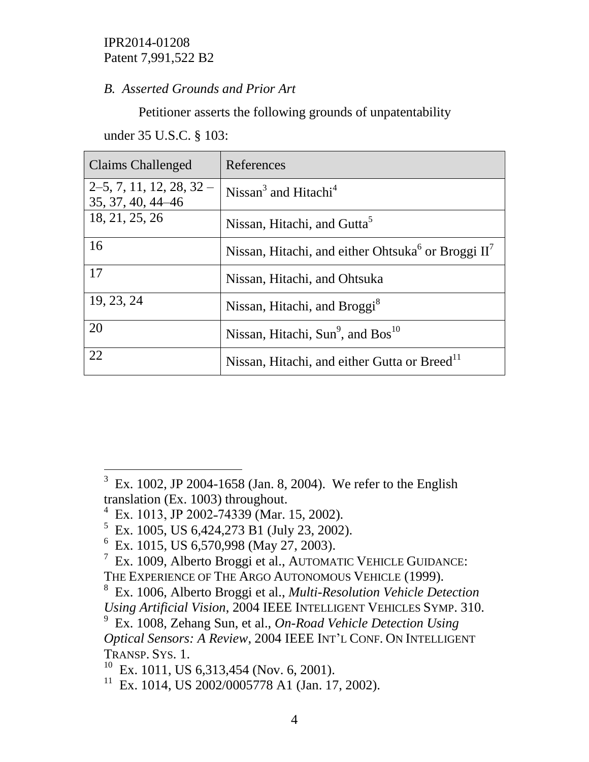# *B. Asserted Grounds and Prior Art*

Petitioner asserts the following grounds of unpatentability

under 35 U.S.C. § 103:

| <b>Claims Challenged</b>                       | References                                                       |
|------------------------------------------------|------------------------------------------------------------------|
| $2-5, 7, 11, 12, 28, 32-$<br>35, 37, 40, 44–46 | Nissan <sup>3</sup> and Hitachi <sup>4</sup>                     |
| 18, 21, 25, 26                                 | Nissan, Hitachi, and Gutta <sup>5</sup>                          |
| 16                                             | Nissan, Hitachi, and either Ohtsuka <sup>6</sup> or Broggi $II7$ |
| 17                                             | Nissan, Hitachi, and Ohtsuka                                     |
| 19, 23, 24                                     | Nissan, Hitachi, and Broggi <sup>8</sup>                         |
| 20                                             | Nissan, Hitachi, Sun $9$ , and Bos <sup>10</sup>                 |
| 22                                             | Nissan, Hitachi, and either Gutta or Breed <sup>11</sup>         |

 $\overline{a}$ 

 $3\,$  Ex. 1002, JP 2004-1658 (Jan. 8, 2004). We refer to the English translation (Ex. 1003) throughout.

<sup>&</sup>lt;sup>4</sup> Ex. 1013, JP 2002-74339 (Mar. 15, 2002).

<sup>&</sup>lt;sup>5</sup> Ex. 1005, US 6,424,273 B1 (July 23, 2002).

<sup>&</sup>lt;sup>6</sup> Ex. 1015, US 6,570,998 (May 27, 2003).

<sup>7</sup> Ex. 1009, Alberto Broggi et al., AUTOMATIC VEHICLE GUIDANCE: THE EXPERIENCE OF THE ARGO AUTONOMOUS VEHICLE (1999).

<sup>8</sup> Ex. 1006, Alberto Broggi et al., *Multi-Resolution Vehicle Detection Using Artificial Vision*, 2004 IEEE INTELLIGENT VEHICLES SYMP. 310.

<sup>9</sup> Ex. 1008, Zehang Sun, et al., *On-Road Vehicle Detection Using Optical Sensors: A Review*, 2004 IEEE INT'L CONF. ON INTELLIGENT TRANSP. SYS. 1.

 $10$  Ex. 1011, US 6,313,454 (Nov. 6, 2001).

<sup>11</sup> Ex. 1014, US 2002/0005778 A1 (Jan. 17, 2002).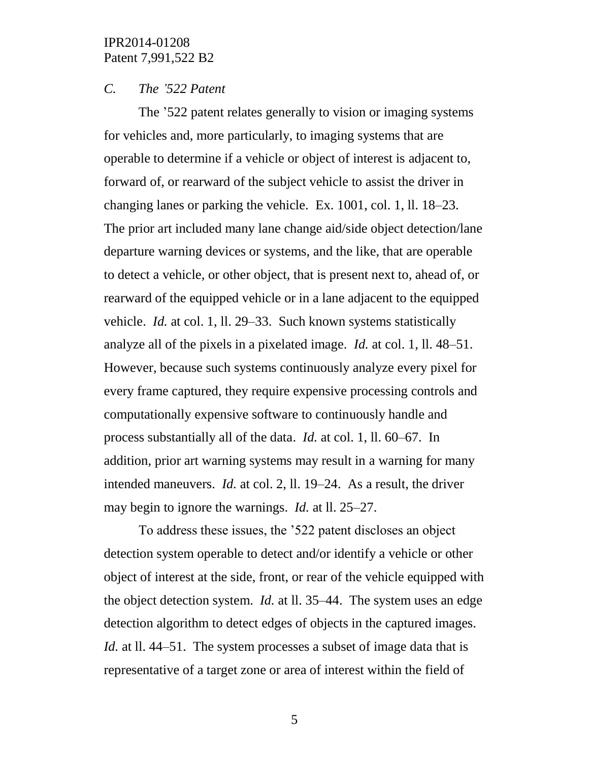#### *C. The '522 Patent*

The '522 patent relates generally to vision or imaging systems for vehicles and, more particularly, to imaging systems that are operable to determine if a vehicle or object of interest is adjacent to, forward of, or rearward of the subject vehicle to assist the driver in changing lanes or parking the vehicle. Ex. 1001, col. 1, ll. 18–23. The prior art included many lane change aid/side object detection/lane departure warning devices or systems, and the like, that are operable to detect a vehicle, or other object, that is present next to, ahead of, or rearward of the equipped vehicle or in a lane adjacent to the equipped vehicle. *Id.* at col. 1, ll. 29–33. Such known systems statistically analyze all of the pixels in a pixelated image. *Id.* at col. 1, ll. 48–51. However, because such systems continuously analyze every pixel for every frame captured, they require expensive processing controls and computationally expensive software to continuously handle and process substantially all of the data. *Id.* at col. 1, ll. 60–67. In addition, prior art warning systems may result in a warning for many intended maneuvers. *Id.* at col. 2, ll. 19–24. As a result, the driver may begin to ignore the warnings. *Id.* at ll. 25–27.

To address these issues, the '522 patent discloses an object detection system operable to detect and/or identify a vehicle or other object of interest at the side, front, or rear of the vehicle equipped with the object detection system. *Id.* at ll. 35–44. The system uses an edge detection algorithm to detect edges of objects in the captured images. *Id.* at ll. 44–51. The system processes a subset of image data that is representative of a target zone or area of interest within the field of

5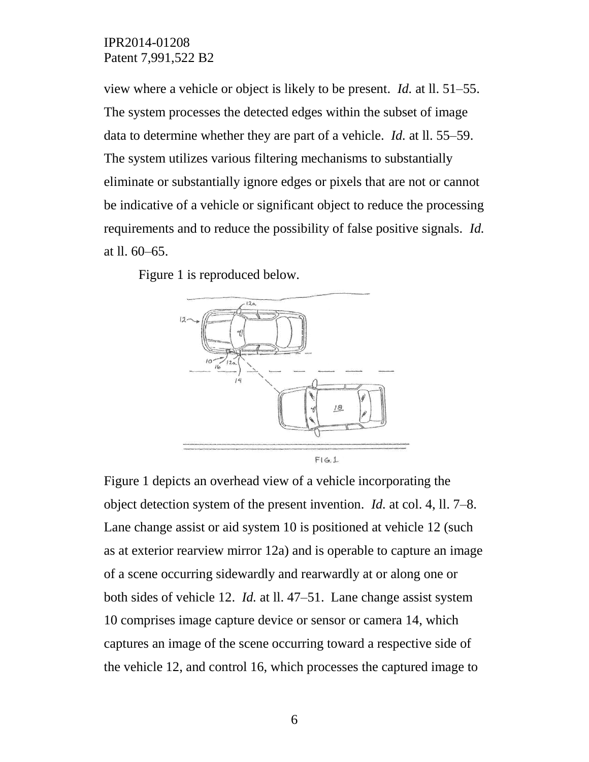view where a vehicle or object is likely to be present. *Id.* at ll. 51–55. The system processes the detected edges within the subset of image data to determine whether they are part of a vehicle. *Id.* at ll. 55–59. The system utilizes various filtering mechanisms to substantially eliminate or substantially ignore edges or pixels that are not or cannot be indicative of a vehicle or significant object to reduce the processing requirements and to reduce the possibility of false positive signals. *Id.*  at ll. 60–65.

Figure 1 is reproduced below.



Figure 1 depicts an overhead view of a vehicle incorporating the object detection system of the present invention. *Id.* at col. 4, ll. 7–8. Lane change assist or aid system 10 is positioned at vehicle 12 (such as at exterior rearview mirror 12a) and is operable to capture an image of a scene occurring sidewardly and rearwardly at or along one or both sides of vehicle 12. *Id.* at ll. 47–51. Lane change assist system 10 comprises image capture device or sensor or camera 14, which captures an image of the scene occurring toward a respective side of the vehicle 12, and control 16, which processes the captured image to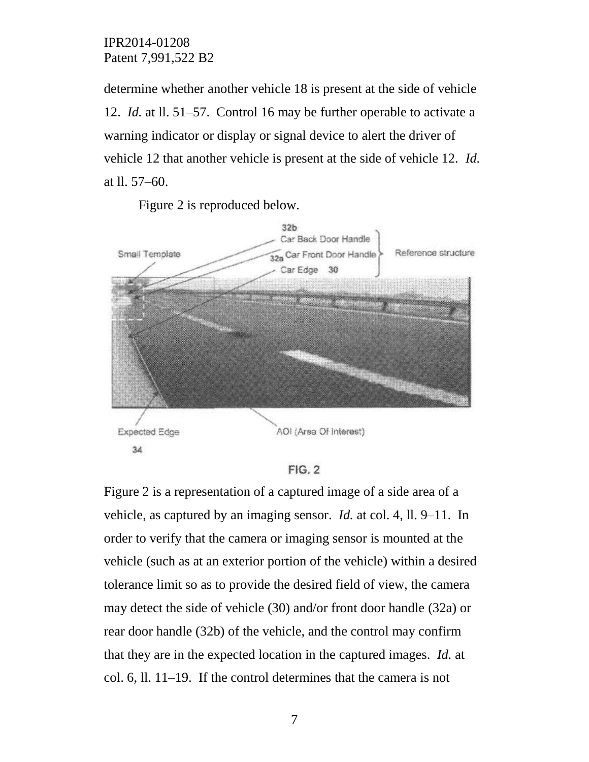determine whether another vehicle 18 is present at the side of vehicle 12. *Id.* at ll. 51–57. Control 16 may be further operable to activate a warning indicator or display or signal device to alert the driver of vehicle 12 that another vehicle is present at the side of vehicle 12. *Id.*  at ll. 57–60.

Figure 2 is reproduced below.



**FIG. 2** 

Figure 2 is a representation of a captured image of a side area of a vehicle, as captured by an imaging sensor. *Id.* at col. 4, ll. 9–11. In order to verify that the camera or imaging sensor is mounted at the vehicle (such as at an exterior portion of the vehicle) within a desired tolerance limit so as to provide the desired field of view, the camera may detect the side of vehicle (30) and/or front door handle (32a) or rear door handle (32b) of the vehicle, and the control may confirm that they are in the expected location in the captured images. *Id.* at col. 6, ll. 11–19. If the control determines that the camera is not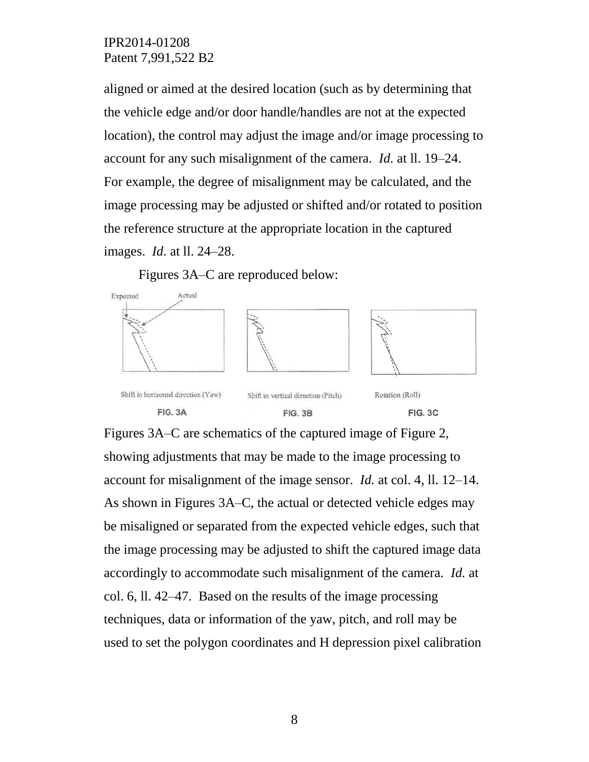aligned or aimed at the desired location (such as by determining that the vehicle edge and/or door handle/handles are not at the expected location), the control may adjust the image and/or image processing to account for any such misalignment of the camera. *Id.* at ll. 19–24. For example, the degree of misalignment may be calculated, and the image processing may be adjusted or shifted and/or rotated to position the reference structure at the appropriate location in the captured images. *Id.* at ll. 24–28.

Figures 3A–C are reproduced below:



Figures 3A–C are schematics of the captured image of Figure 2, showing adjustments that may be made to the image processing to account for misalignment of the image sensor. *Id.* at col. 4, ll. 12–14. As shown in Figures 3A–C, the actual or detected vehicle edges may be misaligned or separated from the expected vehicle edges, such that the image processing may be adjusted to shift the captured image data accordingly to accommodate such misalignment of the camera. *Id.* at col. 6, ll. 42–47. Based on the results of the image processing techniques, data or information of the yaw, pitch, and roll may be used to set the polygon coordinates and H depression pixel calibration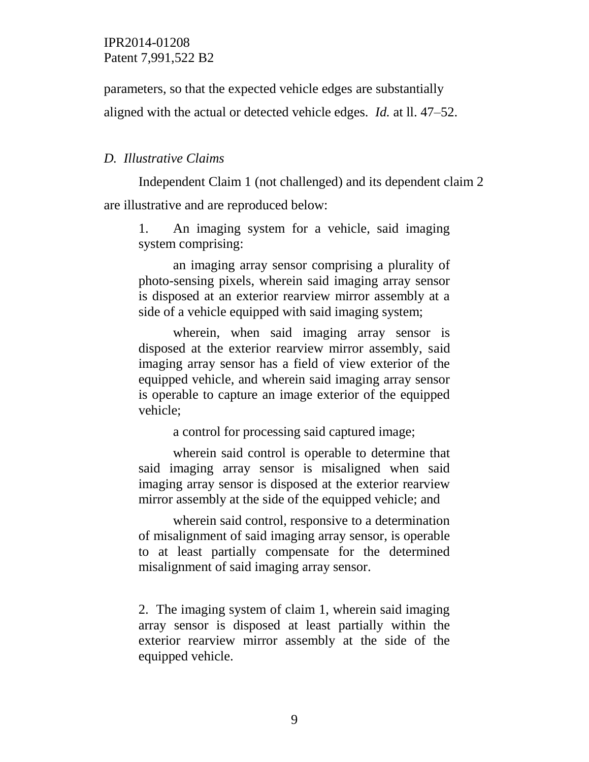parameters, so that the expected vehicle edges are substantially

aligned with the actual or detected vehicle edges. *Id.* at ll. 47–52.

## *D. Illustrative Claims*

Independent Claim 1 (not challenged) and its dependent claim 2 are illustrative and are reproduced below:

1. An imaging system for a vehicle, said imaging system comprising:

an imaging array sensor comprising a plurality of photo-sensing pixels, wherein said imaging array sensor is disposed at an exterior rearview mirror assembly at a side of a vehicle equipped with said imaging system;

wherein, when said imaging array sensor is disposed at the exterior rearview mirror assembly, said imaging array sensor has a field of view exterior of the equipped vehicle, and wherein said imaging array sensor is operable to capture an image exterior of the equipped vehicle;

a control for processing said captured image;

wherein said control is operable to determine that said imaging array sensor is misaligned when said imaging array sensor is disposed at the exterior rearview mirror assembly at the side of the equipped vehicle; and

wherein said control, responsive to a determination of misalignment of said imaging array sensor, is operable to at least partially compensate for the determined misalignment of said imaging array sensor.

2. The imaging system of claim 1, wherein said imaging array sensor is disposed at least partially within the exterior rearview mirror assembly at the side of the equipped vehicle.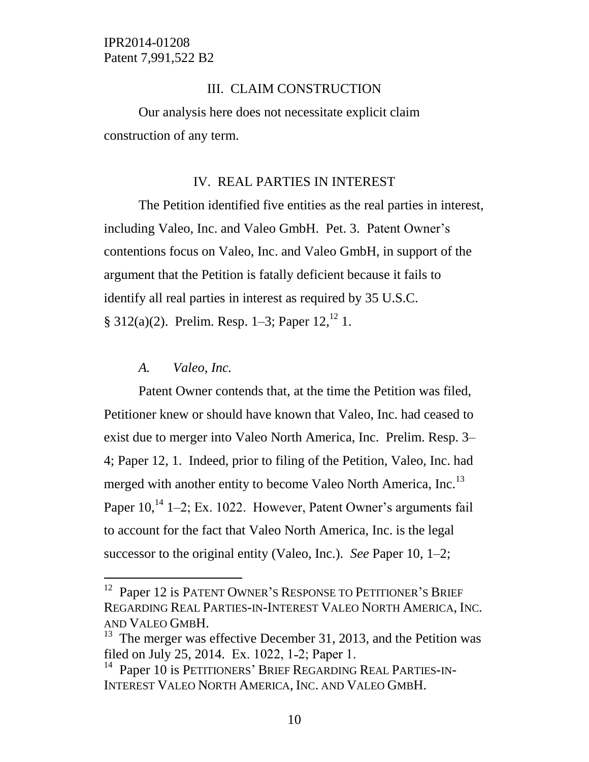## III. CLAIM CONSTRUCTION

Our analysis here does not necessitate explicit claim construction of any term.

## IV. REAL PARTIES IN INTEREST

The Petition identified five entities as the real parties in interest, including Valeo, Inc. and Valeo GmbH. Pet. 3. Patent Owner's contentions focus on Valeo, Inc. and Valeo GmbH, in support of the argument that the Petition is fatally deficient because it fails to identify all real parties in interest as required by 35 U.S.C. § 312(a)(2). Prelim. Resp. 1–3; Paper  $12<sup>12</sup>$  1.

### *A. Valeo, Inc.*

l

Patent Owner contends that, at the time the Petition was filed, Petitioner knew or should have known that Valeo, Inc. had ceased to exist due to merger into Valeo North America, Inc. Prelim. Resp. 3– 4; Paper 12, 1. Indeed, prior to filing of the Petition, Valeo, Inc. had merged with another entity to become Valeo North America, Inc.<sup>13</sup> Paper 10,<sup>14</sup> 1–2; Ex. 1022. However, Patent Owner's arguments fail to account for the fact that Valeo North America, Inc. is the legal successor to the original entity (Valeo, Inc.). *See* Paper 10, 1–2;

<sup>&</sup>lt;sup>12</sup> Paper 12 is PATENT OWNER'S RESPONSE TO PETITIONER'S BRIEF REGARDING REAL PARTIES-IN-INTEREST VALEO NORTH AMERICA, INC. AND VALEO GMBH.

<sup>&</sup>lt;sup>13</sup> The merger was effective December 31, 2013, and the Petition was filed on July 25, 2014. Ex. 1022, 1-2; Paper 1.

<sup>&</sup>lt;sup>14</sup> Paper 10 is PETITIONERS' BRIEF REGARDING REAL PARTIES-IN-INTEREST VALEO NORTH AMERICA, INC. AND VALEO GMBH.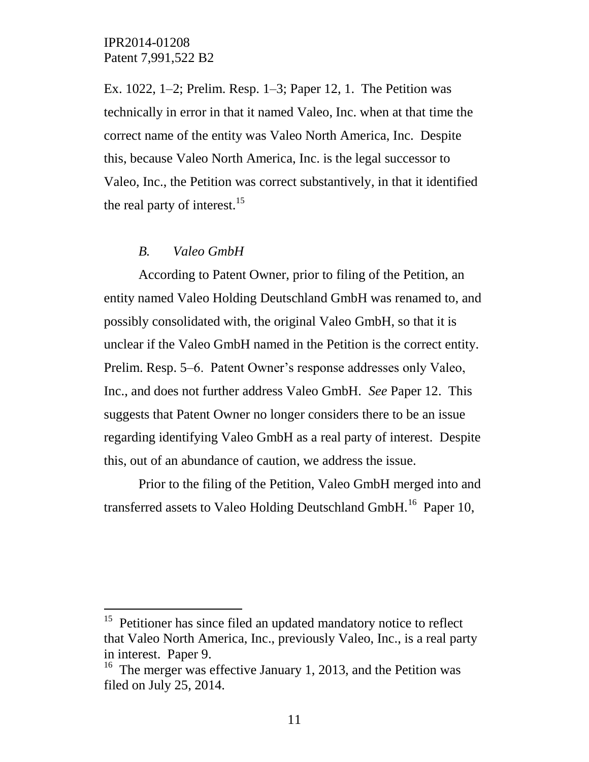Ex. 1022, 1–2; Prelim. Resp. 1–3; Paper 12, 1. The Petition was technically in error in that it named Valeo, Inc. when at that time the correct name of the entity was Valeo North America, Inc. Despite this, because Valeo North America, Inc. is the legal successor to Valeo, Inc., the Petition was correct substantively, in that it identified the real party of interest.<sup>15</sup>

#### *B. Valeo GmbH*

 $\overline{a}$ 

According to Patent Owner, prior to filing of the Petition, an entity named Valeo Holding Deutschland GmbH was renamed to, and possibly consolidated with, the original Valeo GmbH, so that it is unclear if the Valeo GmbH named in the Petition is the correct entity. Prelim. Resp. 5–6. Patent Owner's response addresses only Valeo, Inc., and does not further address Valeo GmbH. *See* Paper 12. This suggests that Patent Owner no longer considers there to be an issue regarding identifying Valeo GmbH as a real party of interest. Despite this, out of an abundance of caution, we address the issue.

Prior to the filing of the Petition, Valeo GmbH merged into and transferred assets to Valeo Holding Deutschland GmbH.<sup>16</sup> Paper 10,

<sup>&</sup>lt;sup>15</sup> Petitioner has since filed an updated mandatory notice to reflect that Valeo North America, Inc., previously Valeo, Inc., is a real party in interest. Paper 9.

<sup>&</sup>lt;sup>16</sup> The merger was effective January 1, 2013, and the Petition was filed on July 25, 2014.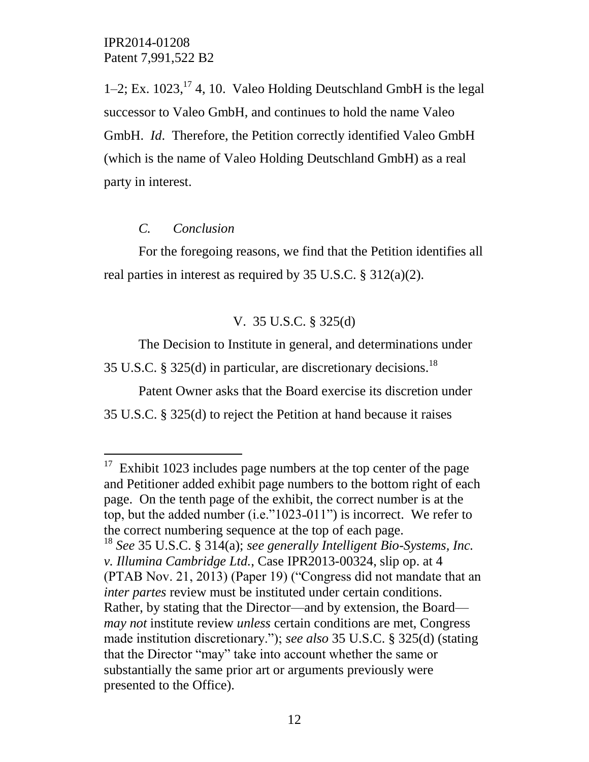1–2; Ex.  $1023$ ,  $^{17}$  4, 10. Valeo Holding Deutschland GmbH is the legal successor to Valeo GmbH, and continues to hold the name Valeo GmbH. *Id*. Therefore, the Petition correctly identified Valeo GmbH (which is the name of Valeo Holding Deutschland GmbH) as a real party in interest.

### *C. Conclusion*

 $\overline{a}$ 

For the foregoing reasons, we find that the Petition identifies all real parties in interest as required by 35 U.S.C. § 312(a)(2).

# V. 35 U.S.C. § 325(d)

The Decision to Institute in general, and determinations under 35 U.S.C. § 325(d) in particular, are discretionary decisions.<sup>18</sup>

Patent Owner asks that the Board exercise its discretion under 35 U.S.C. § 325(d) to reject the Petition at hand because it raises

 $17$  Exhibit 1023 includes page numbers at the top center of the page and Petitioner added exhibit page numbers to the bottom right of each page. On the tenth page of the exhibit, the correct number is at the top, but the added number  $(i.e.^{n}1023-011")$  is incorrect. We refer to the correct numbering sequence at the top of each page.

<sup>18</sup> *See* 35 U.S.C. § 314(a); *see generally Intelligent Bio-Systems, Inc. v. Illumina Cambridge Ltd.*, Case IPR2013-00324, slip op. at 4 (PTAB Nov. 21, 2013) (Paper 19) ("Congress did not mandate that an *inter partes* review must be instituted under certain conditions. Rather, by stating that the Director—and by extension, the Board *may not* institute review *unless* certain conditions are met, Congress made institution discretionary."); *see also* 35 U.S.C. § 325(d) (stating that the Director "may" take into account whether the same or substantially the same prior art or arguments previously were presented to the Office).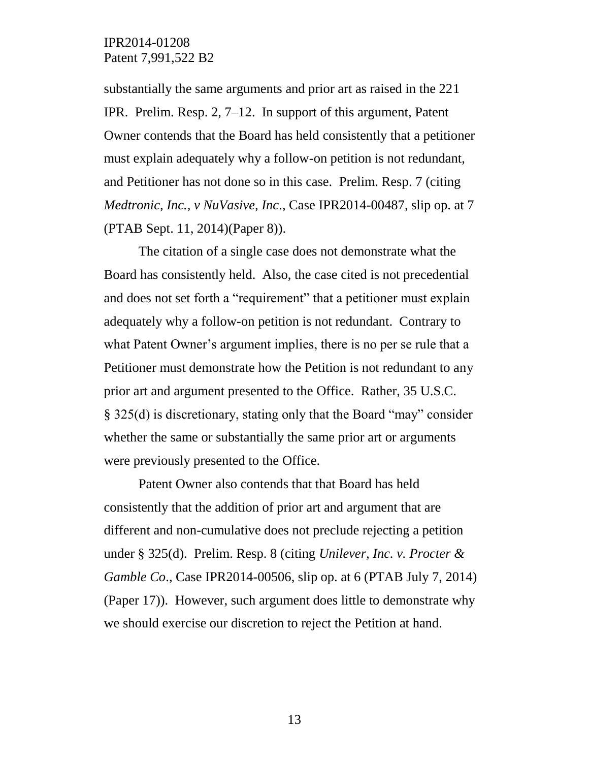substantially the same arguments and prior art as raised in the 221 IPR. Prelim. Resp. 2, 7–12. In support of this argument, Patent Owner contends that the Board has held consistently that a petitioner must explain adequately why a follow-on petition is not redundant, and Petitioner has not done so in this case. Prelim. Resp. 7 (citing *Medtronic, Inc., v NuVasive, Inc*., Case IPR2014-00487, slip op. at 7 (PTAB Sept. 11, 2014)(Paper 8)).

The citation of a single case does not demonstrate what the Board has consistently held. Also, the case cited is not precedential and does not set forth a "requirement" that a petitioner must explain adequately why a follow-on petition is not redundant. Contrary to what Patent Owner's argument implies, there is no per se rule that a Petitioner must demonstrate how the Petition is not redundant to any prior art and argument presented to the Office. Rather, 35 U.S.C. § 325(d) is discretionary, stating only that the Board "may" consider whether the same or substantially the same prior art or arguments were previously presented to the Office.

Patent Owner also contends that that Board has held consistently that the addition of prior art and argument that are different and non-cumulative does not preclude rejecting a petition under § 325(d). Prelim. Resp. 8 (citing *Unilever, Inc. v. Procter & Gamble Co*., Case IPR2014-00506, slip op. at 6 (PTAB July 7, 2014) (Paper 17)). However, such argument does little to demonstrate why we should exercise our discretion to reject the Petition at hand.

13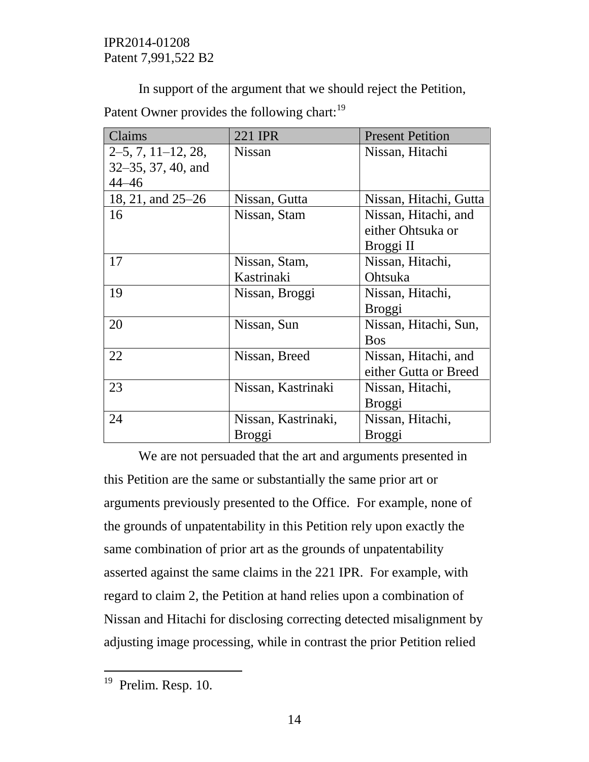In support of the argument that we should reject the Petition,

Patent Owner provides the following chart:<sup>19</sup>

| Claims               | 221 IPR             | <b>Present Petition</b> |
|----------------------|---------------------|-------------------------|
| $2-5, 7, 11-12, 28,$ | <b>Nissan</b>       | Nissan, Hitachi         |
| 32–35, 37, 40, and   |                     |                         |
| $44 - 46$            |                     |                         |
| 18, 21, and 25–26    | Nissan, Gutta       | Nissan, Hitachi, Gutta  |
| 16                   | Nissan, Stam        | Nissan, Hitachi, and    |
|                      |                     | either Ohtsuka or       |
|                      |                     | Broggi II               |
| 17                   | Nissan, Stam,       | Nissan, Hitachi,        |
|                      | Kastrinaki          | Ohtsuka                 |
| 19                   | Nissan, Broggi      | Nissan, Hitachi,        |
|                      |                     | Broggi                  |
| 20                   | Nissan, Sun         | Nissan, Hitachi, Sun,   |
|                      |                     | <b>Bos</b>              |
| 22                   | Nissan, Breed       | Nissan, Hitachi, and    |
|                      |                     | either Gutta or Breed   |
| 23                   | Nissan, Kastrinaki  | Nissan, Hitachi,        |
|                      |                     | <b>Broggi</b>           |
| 24                   | Nissan, Kastrinaki, | Nissan, Hitachi,        |
|                      | <b>Broggi</b>       | <b>Broggi</b>           |

We are not persuaded that the art and arguments presented in this Petition are the same or substantially the same prior art or arguments previously presented to the Office. For example, none of the grounds of unpatentability in this Petition rely upon exactly the same combination of prior art as the grounds of unpatentability asserted against the same claims in the 221 IPR. For example, with regard to claim 2, the Petition at hand relies upon a combination of Nissan and Hitachi for disclosing correcting detected misalignment by adjusting image processing, while in contrast the prior Petition relied

 $\overline{a}$ 

<sup>&</sup>lt;sup>19</sup> Prelim. Resp. 10.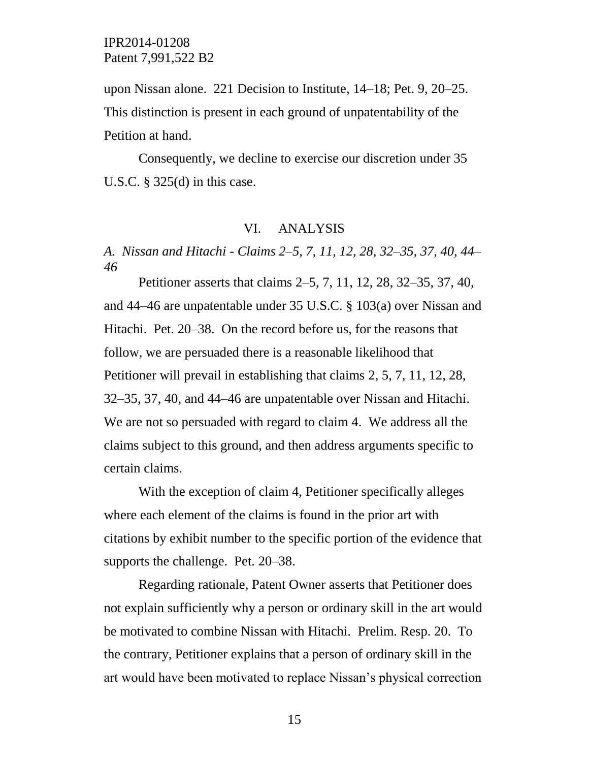upon Nissan alone. 221 Decision to Institute, 14–18; Pet. 9, 20–25. This distinction is present in each ground of unpatentability of the Petition at hand.

Consequently, we decline to exercise our discretion under 35 U.S.C.  $\S$  325(d) in this case.

### VI. ANALYSIS

*A. Nissan and Hitachi - Claims 2–5, 7, 11, 12, 28, 32–35, 37, 40, 44– 46*

Petitioner asserts that claims 2–5, 7, 11, 12, 28, 32–35, 37, 40, and 44–46 are unpatentable under 35 U.S.C. § 103(a) over Nissan and Hitachi. Pet. 20–38. On the record before us, for the reasons that follow, we are persuaded there is a reasonable likelihood that Petitioner will prevail in establishing that claims 2, 5, 7, 11, 12, 28, 32–35, 37, 40, and 44–46 are unpatentable over Nissan and Hitachi. We are not so persuaded with regard to claim 4. We address all the claims subject to this ground, and then address arguments specific to certain claims.

With the exception of claim 4, Petitioner specifically alleges where each element of the claims is found in the prior art with citations by exhibit number to the specific portion of the evidence that supports the challenge. Pet. 20–38.

Regarding rationale, Patent Owner asserts that Petitioner does not explain sufficiently why a person or ordinary skill in the art would be motivated to combine Nissan with Hitachi. Prelim. Resp. 20. To the contrary, Petitioner explains that a person of ordinary skill in the art would have been motivated to replace Nissan's physical correction

15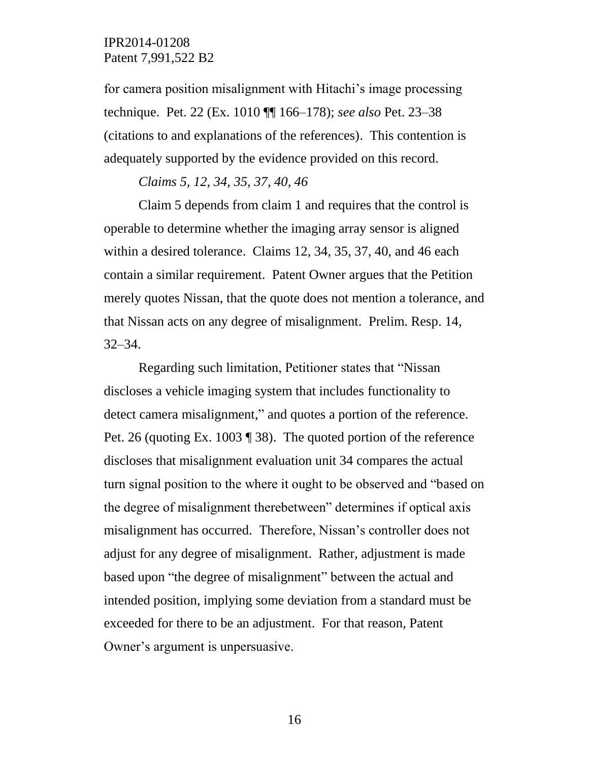for camera position misalignment with Hitachi's image processing technique. Pet. 22 (Ex. 1010 ¶¶ 166–178); *see also* Pet. 23–38 (citations to and explanations of the references). This contention is adequately supported by the evidence provided on this record.

*Claims 5, 12, 34, 35, 37, 40, 46* 

Claim 5 depends from claim 1 and requires that the control is operable to determine whether the imaging array sensor is aligned within a desired tolerance. Claims 12, 34, 35, 37, 40, and 46 each contain a similar requirement. Patent Owner argues that the Petition merely quotes Nissan, that the quote does not mention a tolerance, and that Nissan acts on any degree of misalignment. Prelim. Resp. 14, 32–34.

Regarding such limitation, Petitioner states that "Nissan discloses a vehicle imaging system that includes functionality to detect camera misalignment," and quotes a portion of the reference. Pet. 26 (quoting Ex. 1003 ¶ 38). The quoted portion of the reference discloses that misalignment evaluation unit 34 compares the actual turn signal position to the where it ought to be observed and "based on the degree of misalignment therebetween" determines if optical axis misalignment has occurred. Therefore, Nissan's controller does not adjust for any degree of misalignment. Rather, adjustment is made based upon "the degree of misalignment" between the actual and intended position, implying some deviation from a standard must be exceeded for there to be an adjustment. For that reason, Patent Owner's argument is unpersuasive.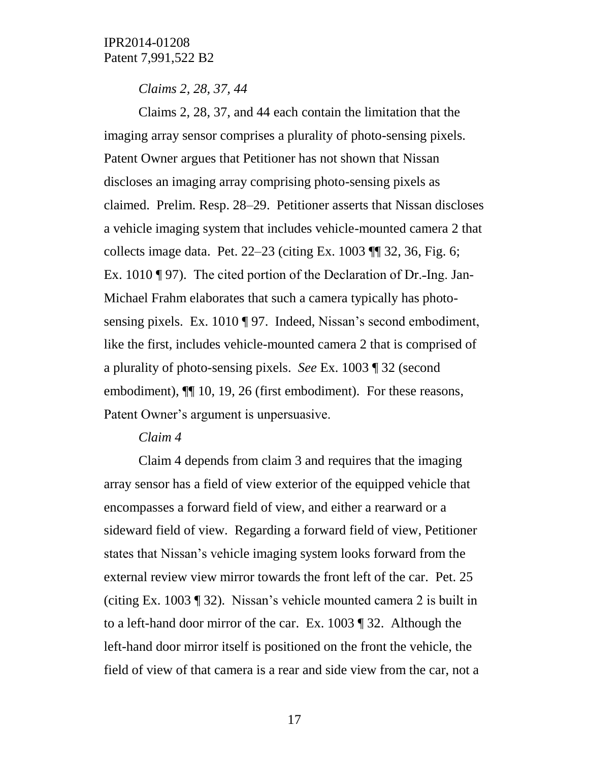*Claims 2, 28, 37, 44*

Claims 2, 28, 37, and 44 each contain the limitation that the imaging array sensor comprises a plurality of photo-sensing pixels. Patent Owner argues that Petitioner has not shown that Nissan discloses an imaging array comprising photo-sensing pixels as claimed. Prelim. Resp. 28–29. Petitioner asserts that Nissan discloses a vehicle imaging system that includes vehicle-mounted camera 2 that collects image data. Pet. 22–23 (citing Ex. 1003 ¶¶ 32, 36, Fig. 6; Ex. 1010  $\P$  97). The cited portion of the Declaration of Dr.-Ing. Jan-Michael Frahm elaborates that such a camera typically has photosensing pixels. Ex. 1010 ¶ 97. Indeed, Nissan's second embodiment, like the first, includes vehicle-mounted camera 2 that is comprised of a plurality of photo-sensing pixels. *See* Ex. 1003 ¶ 32 (second embodiment),  $\P$  10, 19, 26 (first embodiment). For these reasons, Patent Owner's argument is unpersuasive.

#### *Claim 4*

Claim 4 depends from claim 3 and requires that the imaging array sensor has a field of view exterior of the equipped vehicle that encompasses a forward field of view, and either a rearward or a sideward field of view. Regarding a forward field of view, Petitioner states that Nissan's vehicle imaging system looks forward from the external review view mirror towards the front left of the car. Pet. 25 (citing Ex. 1003 ¶ 32). Nissan's vehicle mounted camera 2 is built in to a left-hand door mirror of the car. Ex. 1003 ¶ 32. Although the left-hand door mirror itself is positioned on the front the vehicle, the field of view of that camera is a rear and side view from the car, not a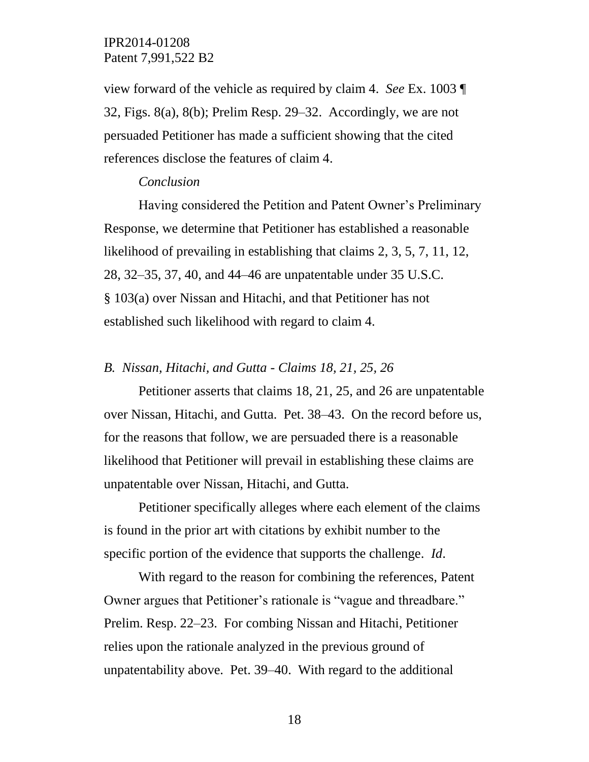view forward of the vehicle as required by claim 4. *See* Ex. 1003 ¶ 32, Figs. 8(a), 8(b); Prelim Resp. 29–32. Accordingly, we are not persuaded Petitioner has made a sufficient showing that the cited references disclose the features of claim 4.

#### *Conclusion*

Having considered the Petition and Patent Owner's Preliminary Response, we determine that Petitioner has established a reasonable likelihood of prevailing in establishing that claims 2, 3, 5, 7, 11, 12, 28, 32–35, 37, 40, and 44–46 are unpatentable under 35 U.S.C. § 103(a) over Nissan and Hitachi, and that Petitioner has not established such likelihood with regard to claim 4.

#### *B. Nissan, Hitachi, and Gutta - Claims 18, 21, 25, 26*

Petitioner asserts that claims 18, 21, 25, and 26 are unpatentable over Nissan, Hitachi, and Gutta. Pet. 38–43. On the record before us, for the reasons that follow, we are persuaded there is a reasonable likelihood that Petitioner will prevail in establishing these claims are unpatentable over Nissan, Hitachi, and Gutta.

Petitioner specifically alleges where each element of the claims is found in the prior art with citations by exhibit number to the specific portion of the evidence that supports the challenge. *Id*.

With regard to the reason for combining the references, Patent Owner argues that Petitioner's rationale is "vague and threadbare." Prelim. Resp. 22–23. For combing Nissan and Hitachi, Petitioner relies upon the rationale analyzed in the previous ground of unpatentability above. Pet. 39–40. With regard to the additional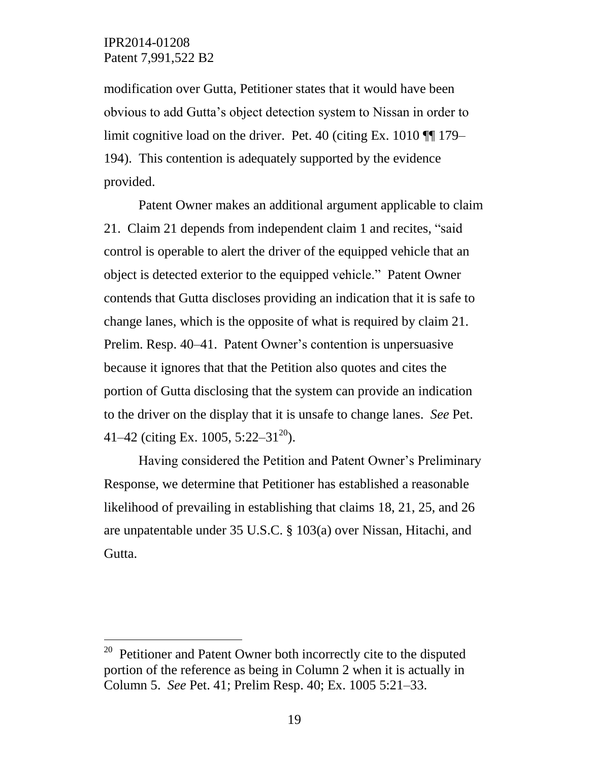$\overline{a}$ 

modification over Gutta, Petitioner states that it would have been obvious to add Gutta's object detection system to Nissan in order to limit cognitive load on the driver. Pet. 40 (citing Ex. 1010 ¶¶ 179– 194). This contention is adequately supported by the evidence provided.

Patent Owner makes an additional argument applicable to claim 21.Claim 21 depends from independent claim 1 and recites, "said control is operable to alert the driver of the equipped vehicle that an object is detected exterior to the equipped vehicle." Patent Owner contends that Gutta discloses providing an indication that it is safe to change lanes, which is the opposite of what is required by claim 21. Prelim. Resp. 40–41. Patent Owner's contention is unpersuasive because it ignores that that the Petition also quotes and cites the portion of Gutta disclosing that the system can provide an indication to the driver on the display that it is unsafe to change lanes. *See* Pet. 41–42 (citing Ex. 1005, 5:22–31<sup>20</sup>).

Having considered the Petition and Patent Owner's Preliminary Response, we determine that Petitioner has established a reasonable likelihood of prevailing in establishing that claims 18, 21, 25, and 26 are unpatentable under 35 U.S.C. § 103(a) over Nissan, Hitachi, and Gutta.

<sup>20</sup> Petitioner and Patent Owner both incorrectly cite to the disputed portion of the reference as being in Column 2 when it is actually in Column 5. *See* Pet. 41; Prelim Resp. 40; Ex. 1005 5:21–33.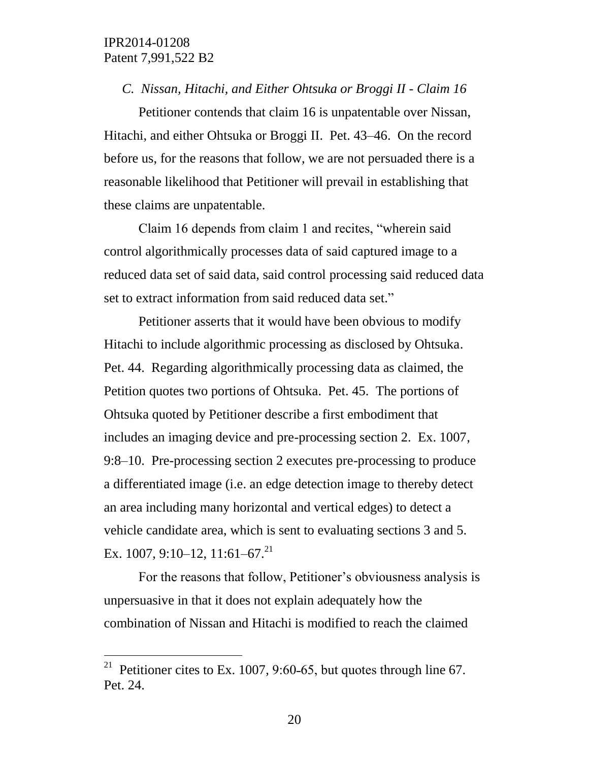$\overline{a}$ 

#### *C. Nissan, Hitachi, and Either Ohtsuka or Broggi II - Claim 16*

Petitioner contends that claim 16 is unpatentable over Nissan, Hitachi, and either Ohtsuka or Broggi II. Pet. 43–46. On the record before us, for the reasons that follow, we are not persuaded there is a reasonable likelihood that Petitioner will prevail in establishing that these claims are unpatentable.

Claim 16 depends from claim 1 and recites, "wherein said control algorithmically processes data of said captured image to a reduced data set of said data, said control processing said reduced data set to extract information from said reduced data set."

Petitioner asserts that it would have been obvious to modify Hitachi to include algorithmic processing as disclosed by Ohtsuka. Pet. 44. Regarding algorithmically processing data as claimed, the Petition quotes two portions of Ohtsuka. Pet. 45. The portions of Ohtsuka quoted by Petitioner describe a first embodiment that includes an imaging device and pre-processing section 2. Ex. 1007, 9:8–10. Pre-processing section 2 executes pre-processing to produce a differentiated image (i.e. an edge detection image to thereby detect an area including many horizontal and vertical edges) to detect a vehicle candidate area, which is sent to evaluating sections 3 and 5. Ex. 1007, 9:10–12, 11:61–67.<sup>21</sup>

For the reasons that follow, Petitioner's obviousness analysis is unpersuasive in that it does not explain adequately how the combination of Nissan and Hitachi is modified to reach the claimed

<sup>&</sup>lt;sup>21</sup> Petitioner cites to Ex. 1007, 9:60-65, but quotes through line 67. Pet. 24.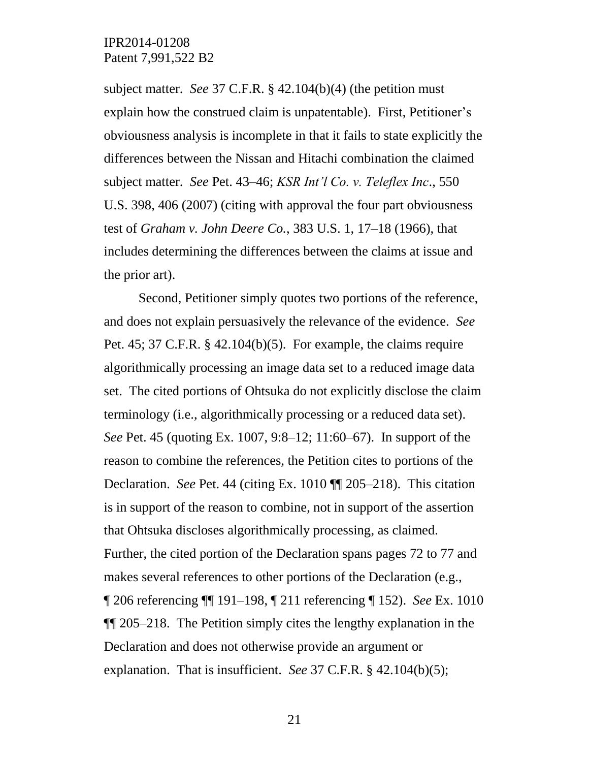subject matter. *See* 37 C.F.R. § 42.104(b)(4) (the petition must explain how the construed claim is unpatentable). First, Petitioner's obviousness analysis is incomplete in that it fails to state explicitly the differences between the Nissan and Hitachi combination the claimed subject matter. *See* Pet. 43–46; *KSR Int'l Co. v. Teleflex Inc*., 550 U.S. 398, 406 (2007) (citing with approval the four part obviousness test of *Graham v. John Deere Co.*, 383 U.S. 1, 17–18 (1966), that includes determining the differences between the claims at issue and the prior art).

Second, Petitioner simply quotes two portions of the reference, and does not explain persuasively the relevance of the evidence. *See*  Pet. 45; 37 C.F.R. § 42.104(b)(5). For example, the claims require algorithmically processing an image data set to a reduced image data set. The cited portions of Ohtsuka do not explicitly disclose the claim terminology (i.e., algorithmically processing or a reduced data set). *See* Pet. 45 (quoting Ex. 1007, 9:8–12; 11:60–67). In support of the reason to combine the references, the Petition cites to portions of the Declaration. *See* Pet. 44 (citing Ex. 1010 ¶¶ 205–218). This citation is in support of the reason to combine, not in support of the assertion that Ohtsuka discloses algorithmically processing, as claimed. Further, the cited portion of the Declaration spans pages 72 to 77 and makes several references to other portions of the Declaration (e.g., ¶ 206 referencing ¶¶ 191–198, ¶ 211 referencing ¶ 152). *See* Ex. 1010 ¶¶ 205–218. The Petition simply cites the lengthy explanation in the Declaration and does not otherwise provide an argument or explanation. That is insufficient. *See* 37 C.F.R. § 42.104(b)(5);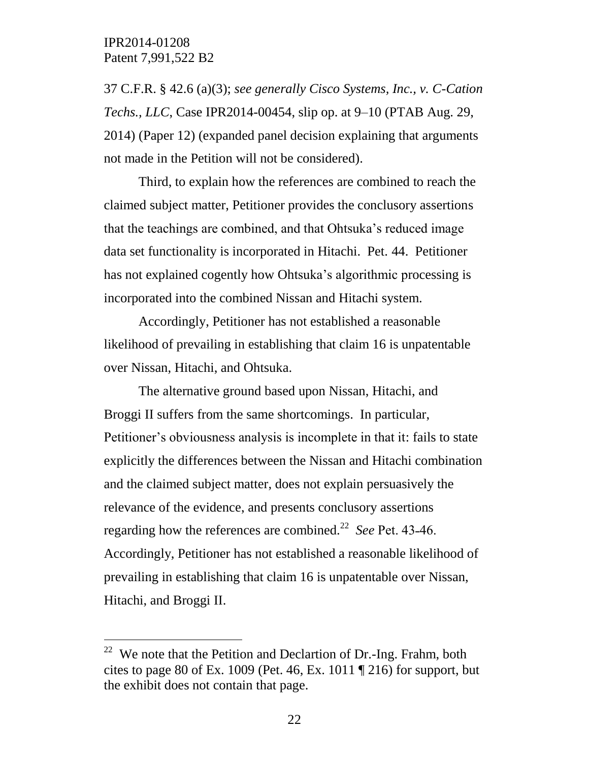$\overline{a}$ 

37 C.F.R. § 42.6 (a)(3); *see generally Cisco Systems, Inc., v. C-Cation Techs., LLC*, Case IPR2014-00454, slip op. at 9–10 (PTAB Aug. 29, 2014) (Paper 12) (expanded panel decision explaining that arguments not made in the Petition will not be considered).

Third, to explain how the references are combined to reach the claimed subject matter, Petitioner provides the conclusory assertions that the teachings are combined, and that Ohtsuka's reduced image data set functionality is incorporated in Hitachi. Pet. 44. Petitioner has not explained cogently how Ohtsuka's algorithmic processing is incorporated into the combined Nissan and Hitachi system.

Accordingly, Petitioner has not established a reasonable likelihood of prevailing in establishing that claim 16 is unpatentable over Nissan, Hitachi, and Ohtsuka.

The alternative ground based upon Nissan, Hitachi, and Broggi II suffers from the same shortcomings. In particular, Petitioner's obviousness analysis is incomplete in that it: fails to state explicitly the differences between the Nissan and Hitachi combination and the claimed subject matter, does not explain persuasively the relevance of the evidence, and presents conclusory assertions regarding how the references are combined.<sup>22</sup> See Pet. 43-46. Accordingly, Petitioner has not established a reasonable likelihood of prevailing in establishing that claim 16 is unpatentable over Nissan, Hitachi, and Broggi II.

<sup>&</sup>lt;sup>22</sup> We note that the Petition and Declartion of Dr.-Ing. Frahm, both cites to page 80 of Ex. 1009 (Pet. 46, Ex. 1011  $\P$  216) for support, but the exhibit does not contain that page.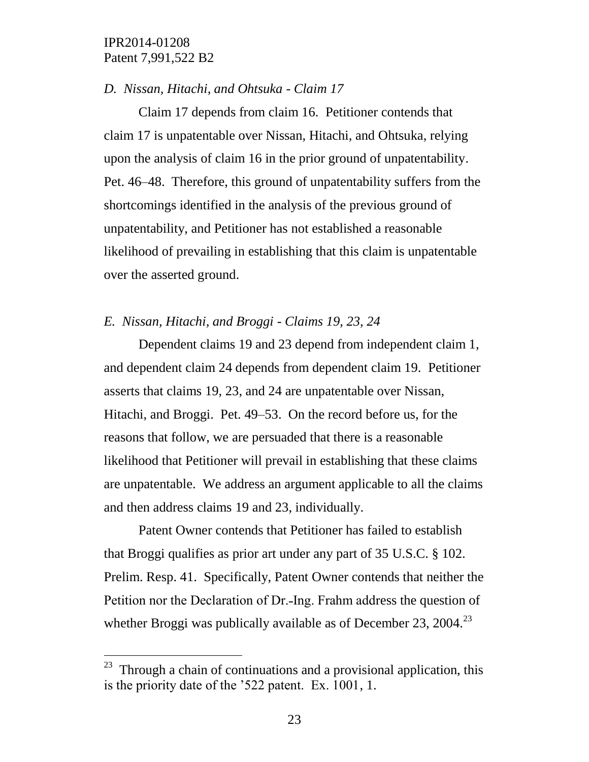$\overline{a}$ 

#### *D. Nissan, Hitachi, and Ohtsuka - Claim 17*

Claim 17 depends from claim 16. Petitioner contends that claim 17 is unpatentable over Nissan, Hitachi, and Ohtsuka, relying upon the analysis of claim 16 in the prior ground of unpatentability. Pet. 46–48. Therefore, this ground of unpatentability suffers from the shortcomings identified in the analysis of the previous ground of unpatentability, and Petitioner has not established a reasonable likelihood of prevailing in establishing that this claim is unpatentable over the asserted ground.

#### *E. Nissan, Hitachi, and Broggi - Claims 19, 23, 24*

Dependent claims 19 and 23 depend from independent claim 1, and dependent claim 24 depends from dependent claim 19. Petitioner asserts that claims 19, 23, and 24 are unpatentable over Nissan, Hitachi, and Broggi. Pet. 49–53. On the record before us, for the reasons that follow, we are persuaded that there is a reasonable likelihood that Petitioner will prevail in establishing that these claims are unpatentable. We address an argument applicable to all the claims and then address claims 19 and 23, individually.

Patent Owner contends that Petitioner has failed to establish that Broggi qualifies as prior art under any part of 35 U.S.C. § 102. Prelim. Resp. 41. Specifically, Patent Owner contends that neither the Petition nor the Declaration of Dr.-Ing. Frahm address the question of whether Broggi was publically available as of December 23, 2004.<sup>23</sup>

 $23$  Through a chain of continuations and a provisional application, this is the priority date of the '522 patent. Ex. 1001, 1.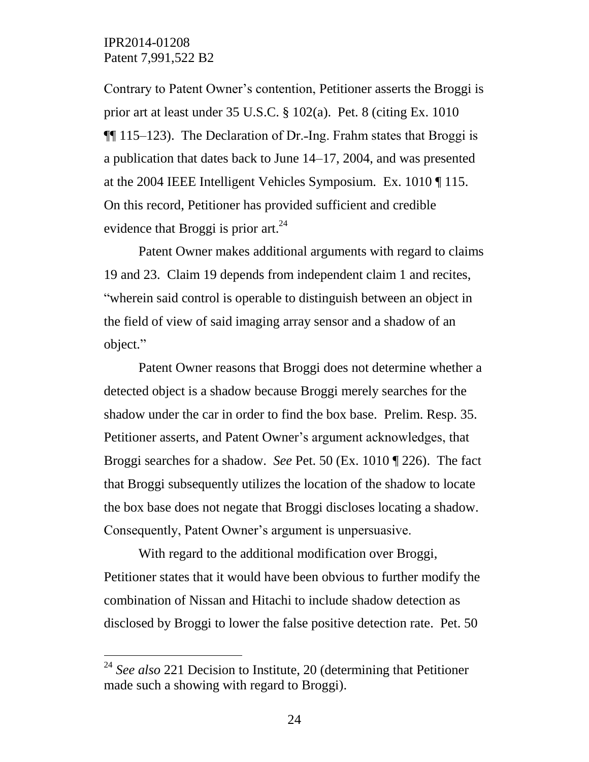$\overline{a}$ 

Contrary to Patent Owner's contention, Petitioner asserts the Broggi is prior art at least under 35 U.S.C. § 102(a). Pet. 8 (citing Ex. 1010  $\P$ [115–123). The Declaration of Dr.-Ing. Frahm states that Broggi is a publication that dates back to June 14–17, 2004, and was presented at the 2004 IEEE Intelligent Vehicles Symposium. Ex. 1010 ¶ 115. On this record, Petitioner has provided sufficient and credible evidence that Broggi is prior art. $^{24}$ 

Patent Owner makes additional arguments with regard to claims 19 and 23. Claim 19 depends from independent claim 1 and recites, "wherein said control is operable to distinguish between an object in the field of view of said imaging array sensor and a shadow of an object."

Patent Owner reasons that Broggi does not determine whether a detected object is a shadow because Broggi merely searches for the shadow under the car in order to find the box base. Prelim. Resp. 35. Petitioner asserts, and Patent Owner's argument acknowledges, that Broggi searches for a shadow. *See* Pet. 50 (Ex. 1010 ¶ 226). The fact that Broggi subsequently utilizes the location of the shadow to locate the box base does not negate that Broggi discloses locating a shadow. Consequently, Patent Owner's argument is unpersuasive.

With regard to the additional modification over Broggi, Petitioner states that it would have been obvious to further modify the combination of Nissan and Hitachi to include shadow detection as disclosed by Broggi to lower the false positive detection rate. Pet. 50

<sup>24</sup> *See also* 221 Decision to Institute, 20 (determining that Petitioner made such a showing with regard to Broggi).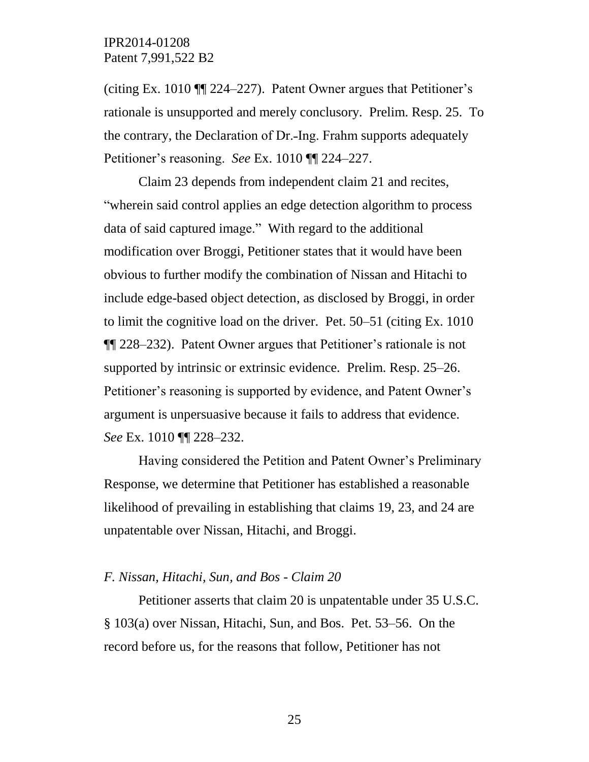(citing Ex. 1010 ¶¶ 224–227). Patent Owner argues that Petitioner's rationale is unsupported and merely conclusory. Prelim. Resp. 25. To the contrary, the Declaration of Dr.-Ing. Frahm supports adequately Petitioner's reasoning. *See* Ex. 1010 ¶¶ 224–227.

Claim 23 depends from independent claim 21 and recites, "wherein said control applies an edge detection algorithm to process data of said captured image." With regard to the additional modification over Broggi, Petitioner states that it would have been obvious to further modify the combination of Nissan and Hitachi to include edge-based object detection, as disclosed by Broggi, in order to limit the cognitive load on the driver. Pet. 50–51 (citing Ex. 1010 ¶¶ 228–232). Patent Owner argues that Petitioner's rationale is not supported by intrinsic or extrinsic evidence. Prelim. Resp. 25–26. Petitioner's reasoning is supported by evidence, and Patent Owner's argument is unpersuasive because it fails to address that evidence. *See* Ex. 1010 ¶¶ 228–232.

Having considered the Petition and Patent Owner's Preliminary Response, we determine that Petitioner has established a reasonable likelihood of prevailing in establishing that claims 19, 23, and 24 are unpatentable over Nissan, Hitachi, and Broggi.

#### *F. Nissan, Hitachi, Sun, and Bos - Claim 20*

Petitioner asserts that claim 20 is unpatentable under 35 U.S.C. § 103(a) over Nissan, Hitachi, Sun, and Bos. Pet. 53–56. On the record before us, for the reasons that follow, Petitioner has not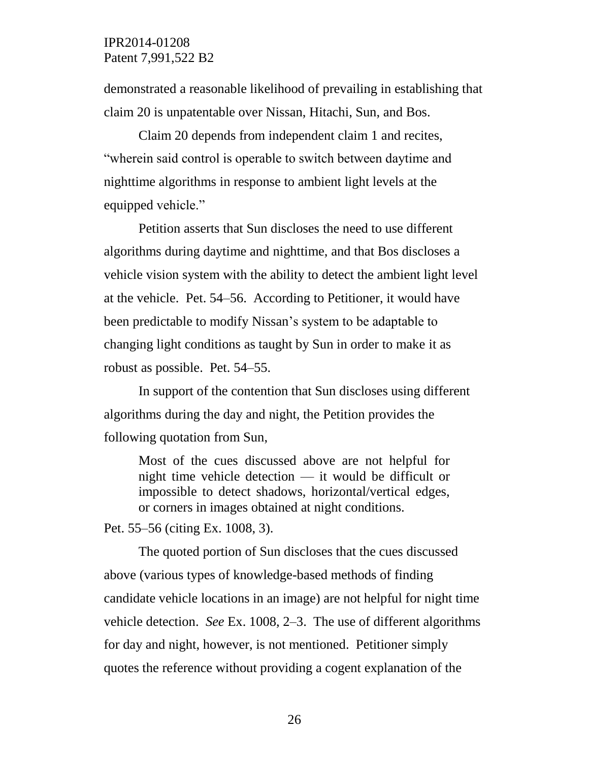demonstrated a reasonable likelihood of prevailing in establishing that claim 20 is unpatentable over Nissan, Hitachi, Sun, and Bos.

Claim 20 depends from independent claim 1 and recites, "wherein said control is operable to switch between daytime and nighttime algorithms in response to ambient light levels at the equipped vehicle."

Petition asserts that Sun discloses the need to use different algorithms during daytime and nighttime, and that Bos discloses a vehicle vision system with the ability to detect the ambient light level at the vehicle. Pet. 54–56. According to Petitioner, it would have been predictable to modify Nissan's system to be adaptable to changing light conditions as taught by Sun in order to make it as robust as possible. Pet. 54–55.

In support of the contention that Sun discloses using different algorithms during the day and night, the Petition provides the following quotation from Sun,

Most of the cues discussed above are not helpful for night time vehicle detection — it would be difficult or impossible to detect shadows, horizontal/vertical edges, or corners in images obtained at night conditions.

Pet. 55–56 (citing Ex. 1008, 3).

The quoted portion of Sun discloses that the cues discussed above (various types of knowledge-based methods of finding candidate vehicle locations in an image) are not helpful for night time vehicle detection. *See* Ex. 1008, 2–3. The use of different algorithms for day and night, however, is not mentioned. Petitioner simply quotes the reference without providing a cogent explanation of the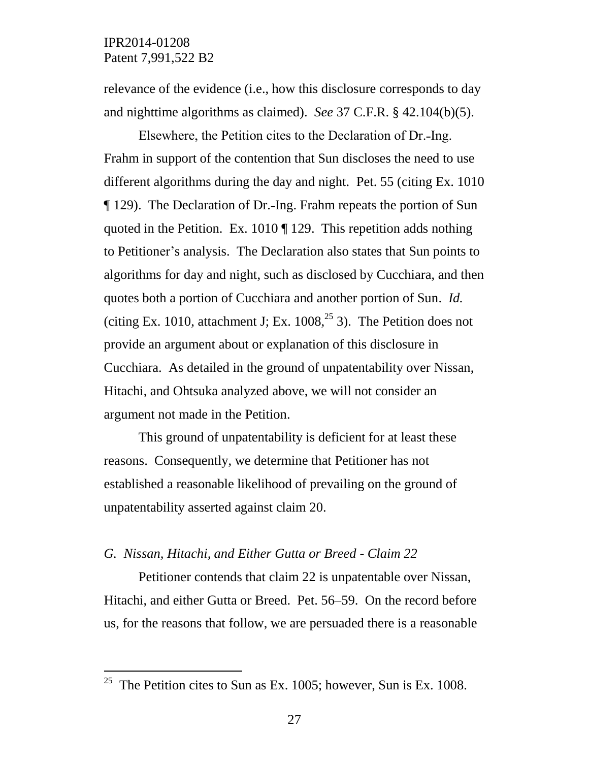$\overline{a}$ 

relevance of the evidence (i.e., how this disclosure corresponds to day and nighttime algorithms as claimed). *See* 37 C.F.R. § 42.104(b)(5).

Elsewhere, the Petition cites to the Declaration of Dr.-Ing. Frahm in support of the contention that Sun discloses the need to use different algorithms during the day and night. Pet. 55 (citing Ex. 1010 ¶ 129). The Declaration of Dr.˗Ing. Frahm repeats the portion of Sun quoted in the Petition. Ex. 1010 ¶ 129. This repetition adds nothing to Petitioner's analysis. The Declaration also states that Sun points to algorithms for day and night, such as disclosed by Cucchiara, and then quotes both a portion of Cucchiara and another portion of Sun. *Id.* (citing Ex. 1010, attachment J; Ex.  $1008<sup>25</sup>$  3). The Petition does not provide an argument about or explanation of this disclosure in Cucchiara. As detailed in the ground of unpatentability over Nissan, Hitachi, and Ohtsuka analyzed above, we will not consider an argument not made in the Petition.

This ground of unpatentability is deficient for at least these reasons. Consequently, we determine that Petitioner has not established a reasonable likelihood of prevailing on the ground of unpatentability asserted against claim 20.

## *G. Nissan, Hitachi, and Either Gutta or Breed - Claim 22*

Petitioner contends that claim 22 is unpatentable over Nissan, Hitachi, and either Gutta or Breed. Pet. 56–59. On the record before us, for the reasons that follow, we are persuaded there is a reasonable

<sup>&</sup>lt;sup>25</sup> The Petition cites to Sun as Ex. 1005; however, Sun is Ex. 1008.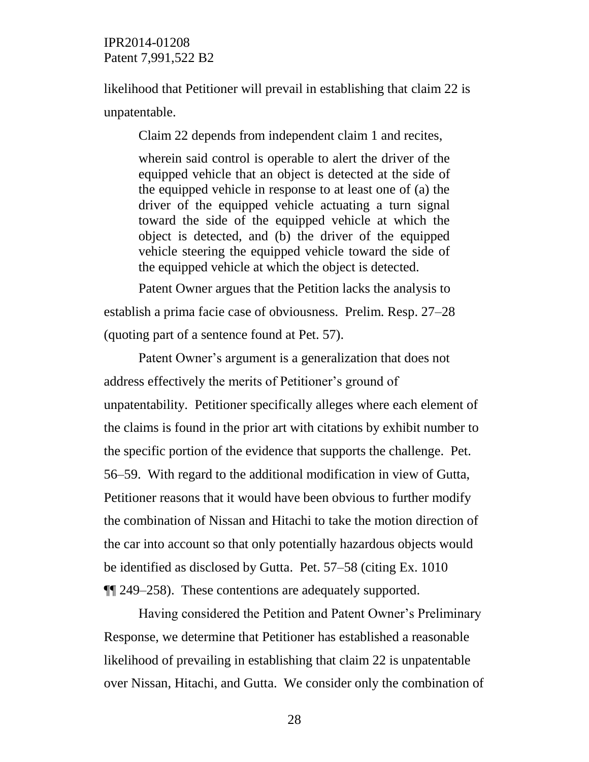likelihood that Petitioner will prevail in establishing that claim 22 is unpatentable.

Claim 22 depends from independent claim 1 and recites,

wherein said control is operable to alert the driver of the equipped vehicle that an object is detected at the side of the equipped vehicle in response to at least one of (a) the driver of the equipped vehicle actuating a turn signal toward the side of the equipped vehicle at which the object is detected, and (b) the driver of the equipped vehicle steering the equipped vehicle toward the side of the equipped vehicle at which the object is detected.

Patent Owner argues that the Petition lacks the analysis to establish a prima facie case of obviousness. Prelim. Resp. 27–28 (quoting part of a sentence found at Pet. 57).

Patent Owner's argument is a generalization that does not address effectively the merits of Petitioner's ground of unpatentability. Petitioner specifically alleges where each element of the claims is found in the prior art with citations by exhibit number to the specific portion of the evidence that supports the challenge. Pet. 56–59. With regard to the additional modification in view of Gutta, Petitioner reasons that it would have been obvious to further modify the combination of Nissan and Hitachi to take the motion direction of the car into account so that only potentially hazardous objects would be identified as disclosed by Gutta. Pet. 57–58 (citing Ex. 1010 ¶¶ 249–258). These contentions are adequately supported.

Having considered the Petition and Patent Owner's Preliminary Response, we determine that Petitioner has established a reasonable likelihood of prevailing in establishing that claim 22 is unpatentable over Nissan, Hitachi, and Gutta. We consider only the combination of

28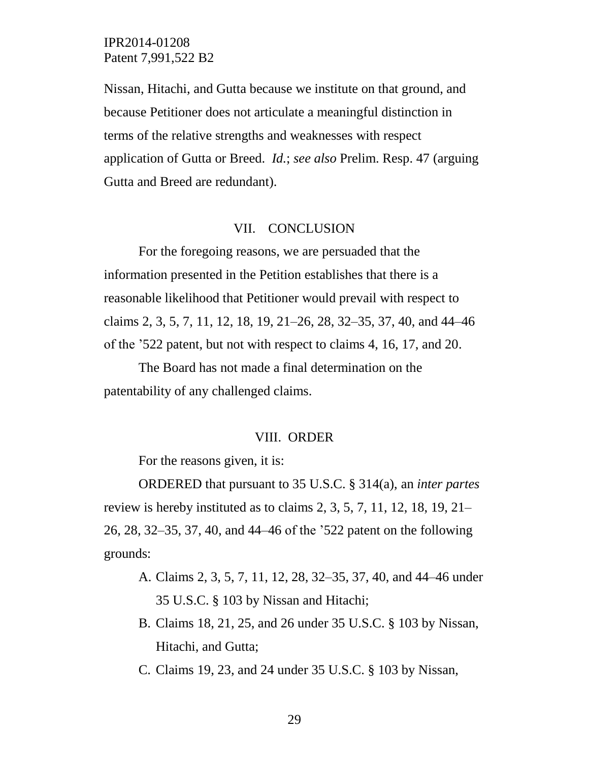Nissan, Hitachi, and Gutta because we institute on that ground, and because Petitioner does not articulate a meaningful distinction in terms of the relative strengths and weaknesses with respect application of Gutta or Breed. *Id.*; *see also* Prelim. Resp. 47 (arguing Gutta and Breed are redundant).

#### VII. CONCLUSION

For the foregoing reasons, we are persuaded that the information presented in the Petition establishes that there is a reasonable likelihood that Petitioner would prevail with respect to claims 2, 3, 5, 7, 11, 12, 18, 19, 21–26, 28, 32–35, 37, 40, and 44–46 of the '522 patent, but not with respect to claims 4, 16, 17, and 20.

The Board has not made a final determination on the patentability of any challenged claims.

#### VIII. ORDER

For the reasons given, it is:

ORDERED that pursuant to 35 U.S.C. § 314(a), an *inter partes* review is hereby instituted as to claims 2, 3, 5, 7, 11, 12, 18, 19, 21– 26, 28, 32–35, 37, 40, and 44–46 of the '522 patent on the following grounds:

- A. Claims 2, 3, 5, 7, 11, 12, 28, 32–35, 37, 40, and 44–46 under 35 U.S.C. § 103 by Nissan and Hitachi;
- B. Claims 18, 21, 25, and 26 under 35 U.S.C. § 103 by Nissan, Hitachi, and Gutta;
- C. Claims 19, 23, and 24 under 35 U.S.C. § 103 by Nissan,